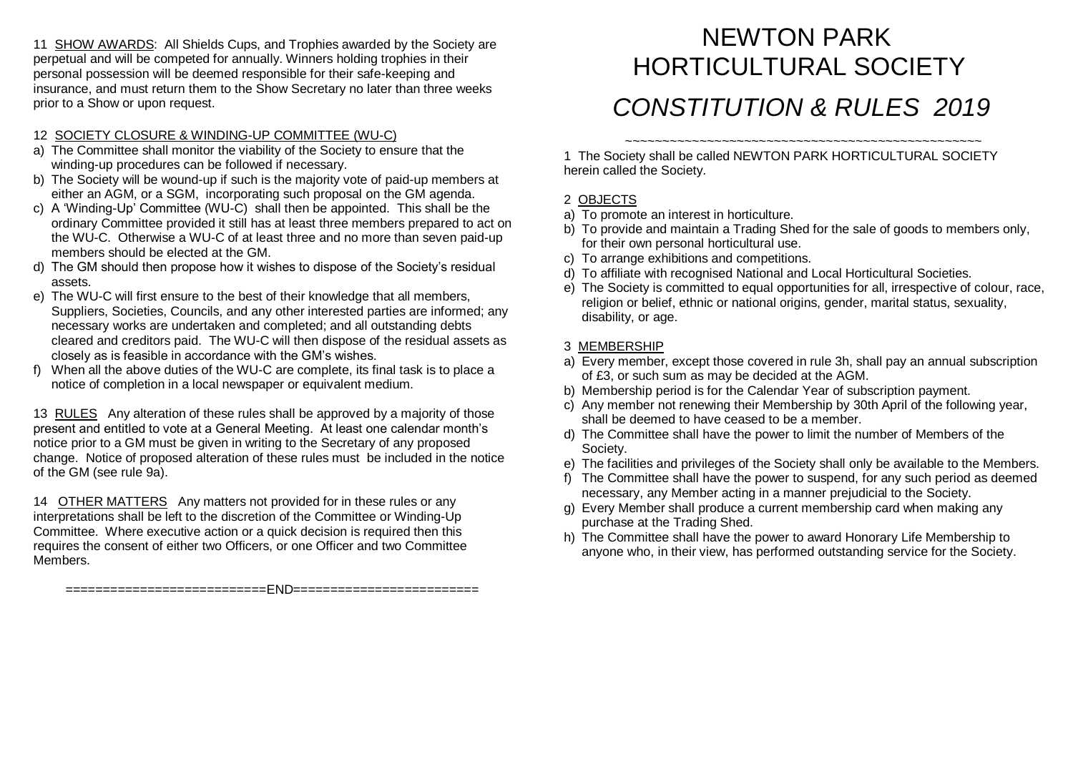11 SHOW AWARDS: All Shields Cups, and Trophies awarded by the Society are perpetual and will be competed for annually. Winners holding trophies in their personal possession will be deemed responsible for their safe-keeping and insurance, and must return them to the Show Secretary no later than three weeks prior to a Show or upon request.

#### 12 SOCIETY CLOSURE & WINDING-UP COMMITTEE (WU-C)

- a) The Committee shall monitor the viability of the Society to ensure that the winding-up procedures can be followed if necessary.
- b) The Society will be wound-up if such is the majority vote of paid-up members at either an AGM, or a SGM, incorporating such proposal on the GM agenda.
- c) A 'Winding-Up' Committee (WU-C) shall then be appointed. This shall be the ordinary Committee provided it still has at least three members prepared to act on the WU-C. Otherwise a WU-C of at least three and no more than seven paid-up members should be elected at the GM.
- d) The GM should then propose how it wishes to dispose of the Society's residual assets.
- e) The WU-C will first ensure to the best of their knowledge that all members, Suppliers, Societies, Councils, and any other interested parties are informed; any necessary works are undertaken and completed; and all outstanding debts cleared and creditors paid. The WU-C will then dispose of the residual assets as closely as is feasible in accordance with the GM's wishes.
- f) When all the above duties of the WU-C are complete, its final task is to place a notice of completion in a local newspaper or equivalent medium.

13 RULES Any alteration of these rules shall be approved by a majority of those present and entitled to vote at a General Meeting. At least one calendar month's notice prior to a GM must be given in writing to the Secretary of any proposed change. Notice of proposed alteration of these rules must be included in the notice of the GM (see rule 9a).

14 OTHER MATTERS Any matters not provided for in these rules or any interpretations shall be left to the discretion of the Committee or Winding-Up Committee. Where executive action or a quick decision is required then this requires the consent of either two Officers, or one Officer and two Committee Members.

===========================END=========================

# NEWTON PARK HORTICULTURAL SOCIETY *CONSTITUTION & RULES 2019*

*~~~~~~~~~~~~~~~~~~~~~~~~~~~~~~~~~~~~~~~~~~~~~~~~* 1 The Society shall be called NEWTON PARK HORTICULTURAL SOCIETY herein called the Society.

### 2 OBJECTS

- a) To promote an interest in horticulture.
- b) To provide and maintain a Trading Shed for the sale of goods to members only, for their own personal horticultural use.
- c) To arrange exhibitions and competitions.
- d) To affiliate with recognised National and Local Horticultural Societies.
- e) The Society is committed to equal opportunities for all, irrespective of colour, race, religion or belief, ethnic or national origins, gender, marital status, sexuality, disability, or age.

#### 3 MEMBERSHIP

- a) Every member, except those covered in rule 3h, shall pay an annual subscription of £3, or such sum as may be decided at the AGM.
- b) Membership period is for the Calendar Year of subscription payment.
- c) Any member not renewing their Membership by 30th April of the following year, shall be deemed to have ceased to be a member.
- d) The Committee shall have the power to limit the number of Members of the Society.
- e) The facilities and privileges of the Society shall only be available to the Members.
- f) The Committee shall have the power to suspend, for any such period as deemed necessary, any Member acting in a manner prejudicial to the Society.
- g) Every Member shall produce a current membership card when making any purchase at the Trading Shed.
- h) The Committee shall have the power to award Honorary Life Membership to anyone who, in their view, has performed outstanding service for the Society.